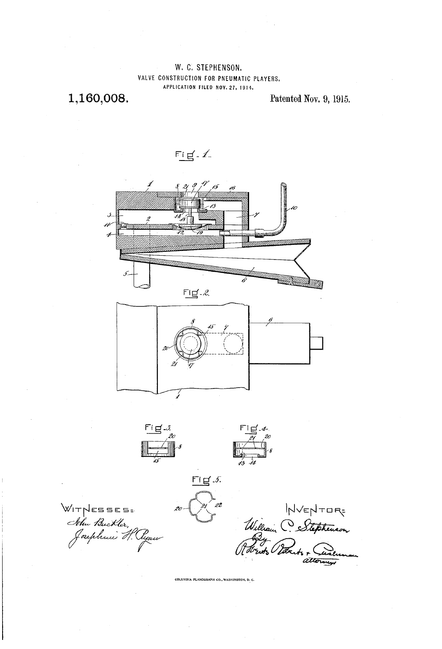W. C. STEPHENSON. VALVE CONSTRUCTION FOR PNEUMATIC PLAYERS. APPLICATION FILED NOV. 27, 1914.

1,160,008.

Patented Nov. 9, 1915.





WIT NESSES=<br>Ithu Buckler,<br>Josephuni H. Ayan

HVENTOR-<br>William C Stephenson<br>Potrots Poorts + Cureum

.<br>COLUMBIA PLANOGRAPH CO., WASHINGTON, D. C.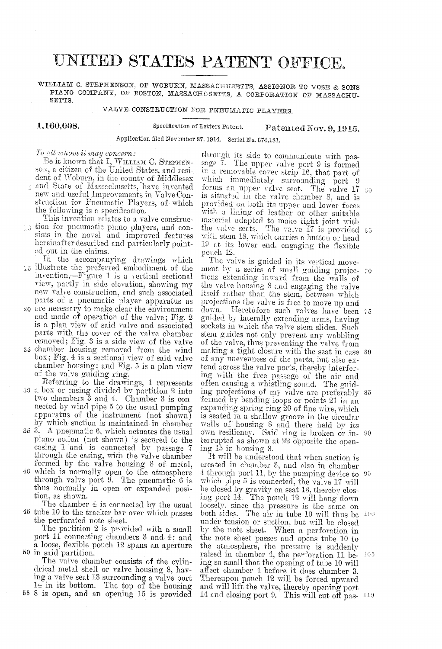## UNITED STATES PATENT OFFICE,

WILLIAM C. STEPHENSON, OF WOBURN, MASSACHUSETTS, ASSIGNOR TO VOSE & SONS PIANO COMPANY, OF ROSTON, MASSACHUSETTS, A CORPORATION OF MASSACHU-SETTS,

VALVE CONSTRUCTION FOR PNEUMATIC PLAYERS.

1,160,00S.

Specification of Letters Patent. Patented Nov. 9, 1915.

Application filed Noyerber 27, 1914. Serial No. 374,131,

To all whom it may concern:

Be it known that I, WILLIAM C. STEPHENson, a citizen of the United States, and resident of Woburn, in the county of Middlesex and State of Massachusetts, have invented<br>new and useful Improvements in ValveConstruction for Pneumatic Players, of which<br>the following is a specification.<br>This invention relates to a valve construc-

13 tion for pneumatic piano players, and consists in the novel and improved features hereinafter described and particularly pointed out in the claims.

In the accompanying drawings which<br>15 illustrate the preferred embodiment of the invention,—Figure 1 is a vertical sectional view, partly in side elevation, showing my<br>new valve construction, and such associated parts of a pneumatic player apparatus as

20 are necessary to make clear the environment and mode of operation of the valve; Fig. 2 is a plan view of said valve and associated parts with the cover of the valve chamber removed; Fig. 3 is a side view of the valve

 $25$  chamber housing removed from the wind<br>box; Fig.  $4$  is a sectional view of said valve chamber housing; and Fig.  $5$  is a plan view of the valve guiding ring.

30 a box or casing divided by partition 2 into Referring to the drawings, 1 represents two chambers  $\overline{3}$  and 4. Chamber 3 is connected by wind pipe  $\delta$  to the usual pumping apparatus of the instrument (not shown) by which suction is maintained in chamber

35 3. A pneumatic 6, which actuates the usual piano action (not shown) is secured to the casing 1 and is connected by passage 7 through the casing, with the valve chamber<br>formed by the valve housing 8 of metal,

40 formed by the valve housing 8 of metal, which is normally open to the atmosphere through valve port 9. The pneumatic 6 is thus normally in open or expanded position, as shown.

45 tube 10 to the tracker bar over which passes The chamber 4 is connected by the usual the perforated note sheet.

The partition 2 is provided with a small port 11 connecting chambers 3 and 4; and

<sup>12</sup> spans an aperture<br>50 in said partition.<br>The valve chamber consists of the cylin-<br>drical metal shell or valve housing 8, hav-<br>ing a valve seat 13 surrounding a valve port<br>14 in its bottom. The top of the housing<br>55 8 i

through its side to communicate with passage 7. The upper valve port 9 is formed in a removable cover strip 16, that part of which immediately surrounding port 9 forms an upper valve seat. The valve 17 is situated in the provided on both its upper and lower faces<br>with a lining of leather or other suitable material adapted to make tight joint with<br>the valve seats. The valve 17 is provided 65 with stem 18, which carries a button or head 19 at its lower end, engaging the flexible pouch 12.<br>The valve is guided in its vertical moveforms an upper valve seat. The valve 17 GO

ment by a series of small guiding projec- 70 tions extending inward from the walls of the Valve housing S and engaging the valve itself rather than the stem, between which<br>projections the valve is free to move up and<br>down. Heretofore such valves have been 75 guided by laterally extending arms, having<br>sockets in which the valve stem slides. Such<br>stem guides not only prevent any wabbling of the valve, thus preventing the valve from of any unevenness of the parts, but also ex-<br>tend across the valve ports, thereby interfertend across the varve ports, thereby interfering with the free passage of the air and often causing a whistling sound. The guiding projections of my valve are preferably formed by bending loops or points 21 in an expanding spring ring 20 of fine wire, which is seated in a shallow groove in the circular walls of housing  $\circ$  and there held by its own resiliency. Said ring is broken or in terrupted as shown at 22 opposite the opening 15 in housing 8. making a tight closure with the seat in case 80 ชอ

It will be understood that when suction is<br>created in chamber 3, and also in chamber created in chamber  $\sigma$ , and also in chamber  $\frac{4 \text{ throught}}{2 \text{ eV}}$  through port 11, by the pumping device to  $\frac{95}{2}$ which pipe 5 is connected, the valve 17 will be closed by gravity on seat 13, thereby clos ing port 14. The pouch 12 will hang down loosely, since the pressure is the same on both sides. The air in tube 10 will thus be  $100$ under tension or suction, but will be closed<br>by the note sheet. When a perforation in<br>the note sheet passes and opens tube 10 to the atmosphere, the pressure is suddenly raised in chamber 4, the perforation 11 be- $105$ ing so small that the opening of tube 10 will affect chamber 4 before it does chamber 3.<br>Thereupon pouch 12 will be forced upward and will lift the valve, thereby opening port 14 and closing port 9. This will cut off pas- 110